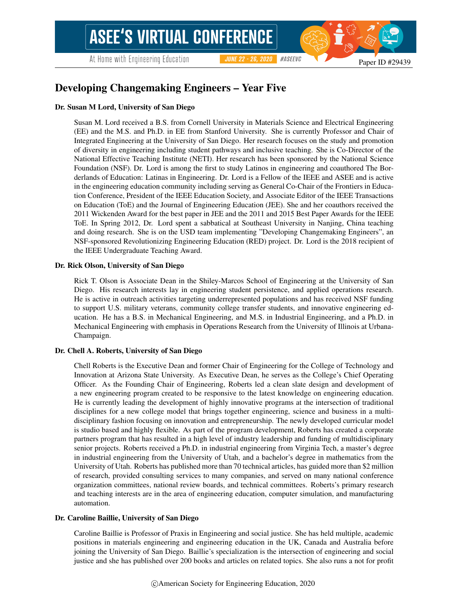# Developing Changemaking Engineers – Year Five

#### Dr. Susan M Lord, University of San Diego

Susan M. Lord received a B.S. from Cornell University in Materials Science and Electrical Engineering (EE) and the M.S. and Ph.D. in EE from Stanford University. She is currently Professor and Chair of Integrated Engineering at the University of San Diego. Her research focuses on the study and promotion of diversity in engineering including student pathways and inclusive teaching. She is Co-Director of the National Effective Teaching Institute (NETI). Her research has been sponsored by the National Science Foundation (NSF). Dr. Lord is among the first to study Latinos in engineering and coauthored The Borderlands of Education: Latinas in Engineering. Dr. Lord is a Fellow of the IEEE and ASEE and is active in the engineering education community including serving as General Co-Chair of the Frontiers in Education Conference, President of the IEEE Education Society, and Associate Editor of the IEEE Transactions on Education (ToE) and the Journal of Engineering Education (JEE). She and her coauthors received the 2011 Wickenden Award for the best paper in JEE and the 2011 and 2015 Best Paper Awards for the IEEE ToE. In Spring 2012, Dr. Lord spent a sabbatical at Southeast University in Nanjing, China teaching and doing research. She is on the USD team implementing "Developing Changemaking Engineers", an NSF-sponsored Revolutionizing Engineering Education (RED) project. Dr. Lord is the 2018 recipient of the IEEE Undergraduate Teaching Award.

#### Dr. Rick Olson, University of San Diego

Rick T. Olson is Associate Dean in the Shiley-Marcos School of Engineering at the University of San Diego. His research interests lay in engineering student persistence, and applied operations research. He is active in outreach activities targeting underrepresented populations and has received NSF funding to support U.S. military veterans, community college transfer students, and innovative engineering education. He has a B.S. in Mechanical Engineering, and M.S. in Industrial Engineering, and a Ph.D. in Mechanical Engineering with emphasis in Operations Research from the University of Illinois at Urbana-Champaign.

#### Dr. Chell A. Roberts, University of San Diego

Chell Roberts is the Executive Dean and former Chair of Engineering for the College of Technology and Innovation at Arizona State University. As Executive Dean, he serves as the College's Chief Operating Officer. As the Founding Chair of Engineering, Roberts led a clean slate design and development of a new engineering program created to be responsive to the latest knowledge on engineering education. He is currently leading the development of highly innovative programs at the intersection of traditional disciplines for a new college model that brings together engineering, science and business in a multidisciplinary fashion focusing on innovation and entrepreneurship. The newly developed curricular model is studio based and highly flexible. As part of the program development, Roberts has created a corporate partners program that has resulted in a high level of industry leadership and funding of multidisciplinary senior projects. Roberts received a Ph.D. in industrial engineering from Virginia Tech, a master's degree in industrial engineering from the University of Utah, and a bachelor's degree in mathematics from the University of Utah. Roberts has published more than 70 technical articles, has guided more than \$2 million of research, provided consulting services to many companies, and served on many national conference organization committees, national review boards, and technical committees. Roberts's primary research and teaching interests are in the area of engineering education, computer simulation, and manufacturing automation.

#### Dr. Caroline Baillie, University of San Diego

Caroline Baillie is Professor of Praxis in Engineering and social justice. She has held multiple, academic positions in materials engineering and engineering education in the UK, Canada and Australia before joining the University of San Diego. Baillie's specialization is the intersection of engineering and social justice and she has published over 200 books and articles on related topics. She also runs a not for profit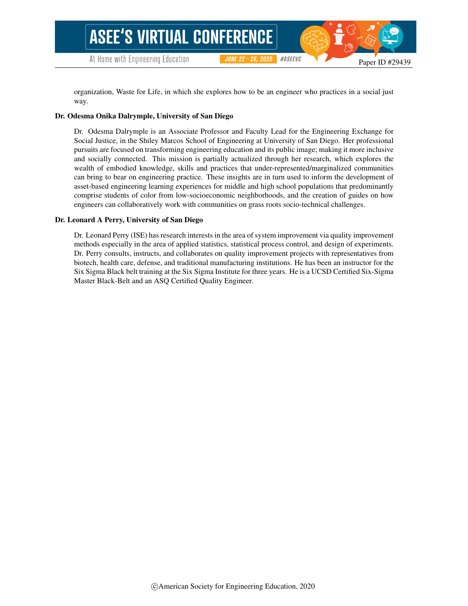organization, Waste for Life, in which she explores how to be an engineer who practices in a social just way.

**JUNE 22 - 26, 2020** 

#ASEEVC

#### Dr. Odesma Onika Dalrymple, University of San Diego

Dr. Odesma Dalrymple is an Associate Professor and Faculty Lead for the Engineering Exchange for Social Justice, in the Shiley Marcos School of Engineering at University of San Diego. Her professional pursuits are focused on transforming engineering education and its public image; making it more inclusive and socially connected. This mission is partially actualized through her research, which explores the wealth of embodied knowledge, skills and practices that under-represented/marginalized communities can bring to bear on engineering practice. These insights are in turn used to inform the development of asset-based engineering learning experiences for middle and high school populations that predominantly comprise students of color from low-socioeconomic neighborhoods, and the creation of guides on how engineers can collaboratively work with communities on grass roots socio-technical challenges.

#### Dr. Leonard A Perry, University of San Diego

Dr. Leonard Perry (ISE) has research interests in the area of system improvement via quality improvement methods especially in the area of applied statistics, statistical process control, and design of experiments. Dr. Perry consults, instructs, and collaborates on quality improvement projects with representatives from biotech, health care, defense, and traditional manufacturing institutions. He has been an instructor for the Six Sigma Black belt training at the Six Sigma Institute for three years. He is a UCSD Certified Six-Sigma Master Black-Belt and an ASQ Certified Quality Engineer.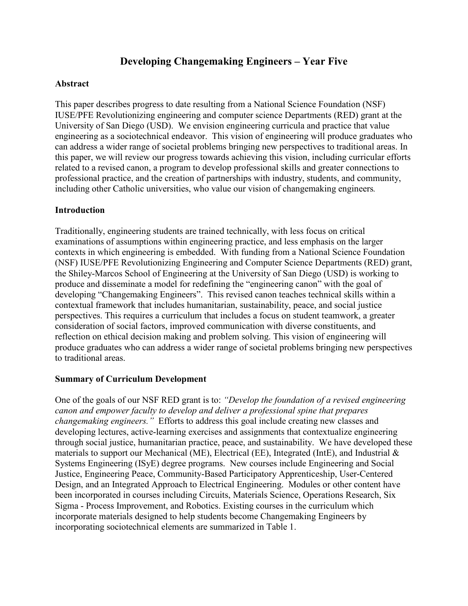# **Developing Changemaking Engineers – Year Five**

### **Abstract**

This paper describes progress to date resulting from a National Science Foundation (NSF) IUSE/PFE Revolutionizing engineering and computer science Departments (RED) grant at the University of San Diego (USD). We envision engineering curricula and practice that value engineering as a sociotechnical endeavor. This vision of engineering will produce graduates who can address a wider range of societal problems bringing new perspectives to traditional areas. In this paper, we will review our progress towards achieving this vision, including curricular efforts related to a revised canon, a program to develop professional skills and greater connections to professional practice, and the creation of partnerships with industry, students, and community, including other Catholic universities, who value our vision of changemaking engineers*.*

### **Introduction**

Traditionally, engineering students are trained technically, with less focus on critical examinations of assumptions within engineering practice, and less emphasis on the larger contexts in which engineering is embedded. With funding from a National Science Foundation (NSF) IUSE/PFE Revolutionizing Engineering and Computer Science Departments (RED) grant, the Shiley-Marcos School of Engineering at the University of San Diego (USD) is working to produce and disseminate a model for redefining the "engineering canon" with the goal of developing "Changemaking Engineers". This revised canon teaches technical skills within a contextual framework that includes humanitarian, sustainability, peace, and social justice perspectives. This requires a curriculum that includes a focus on student teamwork, a greater consideration of social factors, improved communication with diverse constituents, and reflection on ethical decision making and problem solving. This vision of engineering will produce graduates who can address a wider range of societal problems bringing new perspectives to traditional areas.

#### **Summary of Curriculum Development**

One of the goals of our NSF RED grant is to: *"Develop the foundation of a revised engineering canon and empower faculty to develop and deliver a professional spine that prepares changemaking engineers."* Efforts to address this goal include creating new classes and developing lectures, active-learning exercises and assignments that contextualize engineering through social justice, humanitarian practice, peace, and sustainability. We have developed these materials to support our Mechanical (ME), Electrical (EE), Integrated (IntE), and Industrial & Systems Engineering (ISyE) degree programs. New courses include Engineering and Social Justice, Engineering Peace, Community-Based Participatory Apprenticeship, User-Centered Design, and an Integrated Approach to Electrical Engineering. Modules or other content have been incorporated in courses including Circuits, Materials Science, Operations Research, Six Sigma - Process Improvement, and Robotics. Existing courses in the curriculum which incorporate materials designed to help students become Changemaking Engineers by incorporating sociotechnical elements are summarized in Table 1.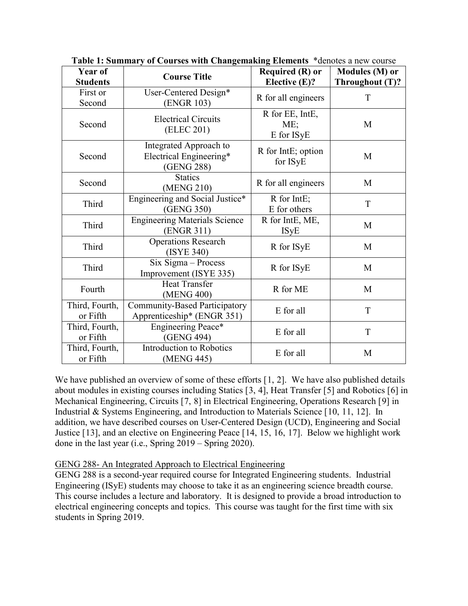| Year of<br><b>Students</b> | <b>Course Title</b>                                                | <b>Required (R) or</b><br>Elective $(E)?$ | Modules (M) or<br>Throughout (T)? |
|----------------------------|--------------------------------------------------------------------|-------------------------------------------|-----------------------------------|
| First or<br>Second         | User-Centered Design*<br>(ENGR 103)                                | R for all engineers                       | T                                 |
| Second                     | <b>Electrical Circuits</b><br>(ELEC 201)                           | R for EE, IntE,<br>ME:<br>E for ISyE      | M                                 |
| Second                     | Integrated Approach to<br>Electrical Engineering*<br>(GENG 288)    | R for IntE; option<br>for ISyE            | M                                 |
| Second                     | <b>Statics</b><br>(MENG 210)                                       | R for all engineers                       | M                                 |
| Third                      | Engineering and Social Justice*<br>(GENG 350)                      | R for IntE;<br>E for others               | T                                 |
| Third                      | <b>Engineering Materials Science</b><br>(ENGR 311)                 | R for IntE, ME,<br><b>ISyE</b>            | M                                 |
| Third                      | <b>Operations Research</b><br>(ISYE 340)                           | R for ISyE                                | M                                 |
| Third                      | $Six Sigma - Process$<br>Improvement (ISYE 335)                    | R for ISyE                                | M                                 |
| Fourth                     | <b>Heat Transfer</b><br>(MENG 400)                                 | R for ME                                  | M                                 |
| Third, Fourth,<br>or Fifth | <b>Community-Based Participatory</b><br>Apprenticeship* (ENGR 351) | E for all                                 | T                                 |
| Third, Fourth,<br>or Fifth | Engineering Peace*<br>(GENG 494)                                   | E for all                                 | T                                 |
| Third, Fourth,<br>or Fifth | <b>Introduction to Robotics</b><br>(MENG 445)                      | E for all                                 | M                                 |

**Table 1: Summary of Courses with Changemaking Elements** \*denotes a new course

We have published an overview of some of these efforts [[1,](#page-8-0) [2](#page-8-1)]. We have also published details about modules in existing courses including Statics [[3,](#page-8-2) [4](#page-9-0)], Heat Transfer [[5\]](#page-9-1) and Robotics [[6](#page-9-2)] in Mechanical Engineering, Circuits [[7](#page-9-3), [8\]](#page-9-4) in Electrical Engineering, Operations Research [[9\]](#page-9-5) in Industrial & Systems Engineering, and Introduction to Materials Science [[10](#page-9-6), [11,](#page-9-7) [12](#page-9-8)]. In addition, we have described courses on User-Centered Design (UCD), Engineering and Social Justice [[13](#page-9-9)], and an elective on Engineering Peace [[14](#page-9-10), [15,](#page-9-11) [16](#page-9-12), [17\]](#page-9-13). Below we highlight work done in the last year (i.e., Spring 2019 – Spring 2020).

#### GENG 288- An Integrated Approach to Electrical Engineering

GENG 288 is a second-year required course for Integrated Engineering students. Industrial Engineering (ISyE) students may choose to take it as an engineering science breadth course. This course includes a lecture and laboratory. It is designed to provide a broad introduction to electrical engineering concepts and topics. This course was taught for the first time with six students in Spring 2019.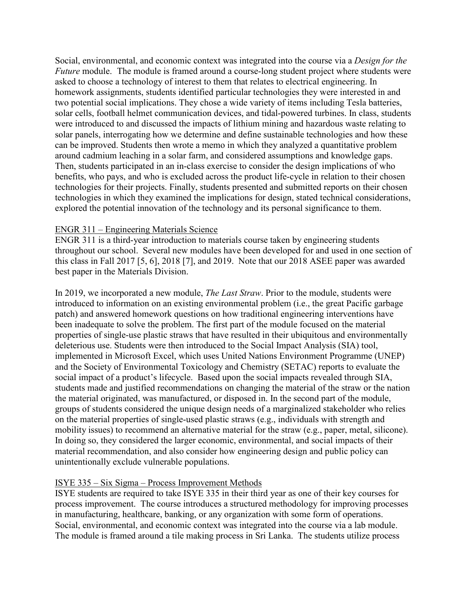Social, environmental, and economic context was integrated into the course via a *Design for the Future* module. The module is framed around a course-long student project where students were asked to choose a technology of interest to them that relates to electrical engineering. In homework assignments, students identified particular technologies they were interested in and two potential social implications. They chose a wide variety of items including Tesla batteries, solar cells, football helmet communication devices, and tidal-powered turbines. In class, students were introduced to and discussed the impacts of lithium mining and hazardous waste relating to solar panels, interrogating how we determine and define sustainable technologies and how these can be improved. Students then wrote a memo in which they analyzed a quantitative problem around cadmium leaching in a solar farm, and considered assumptions and knowledge gaps. Then, students participated in an in-class exercise to consider the design implications of who benefits, who pays, and who is excluded across the product life-cycle in relation to their chosen technologies for their projects. Finally, students presented and submitted reports on their chosen technologies in which they examined the implications for design, stated technical considerations, explored the potential innovation of the technology and its personal significance to them.

#### ENGR 311 – Engineering Materials Science

ENGR 311 is a third-year introduction to materials course taken by engineering students throughout our school. Several new modules have been developed for and used in one section of this class in Fall 2017 [5, 6], 2018 [7], and 2019. Note that our 2018 ASEE paper was awarded best paper in the Materials Division.

In 2019, we incorporated a new module, *The Last Straw*. Prior to the module, students were introduced to information on an existing environmental problem (i.e., the great Pacific garbage patch) and answered homework questions on how traditional engineering interventions have been inadequate to solve the problem. The first part of the module focused on the material properties of single-use plastic straws that have resulted in their ubiquitous and environmentally deleterious use. Students were then introduced to the Social Impact Analysis (SIA) tool, implemented in Microsoft Excel, which uses United Nations Environment Programme (UNEP) and the Society of Environmental Toxicology and Chemistry (SETAC) reports to evaluate the social impact of a product's lifecycle. Based upon the social impacts revealed through SIA, students made and justified recommendations on changing the material of the straw or the nation the material originated, was manufactured, or disposed in. In the second part of the module, groups of students considered the unique design needs of a marginalized stakeholder who relies on the material properties of single-used plastic straws (e.g., individuals with strength and mobility issues) to recommend an alternative material for the straw (e.g., paper, metal, silicone). In doing so, they considered the larger economic, environmental, and social impacts of their material recommendation, and also consider how engineering design and public policy can unintentionally exclude vulnerable populations.

#### ISYE 335 – Six Sigma – Process Improvement Methods

ISYE students are required to take ISYE 335 in their third year as one of their key courses for process improvement. The course introduces a structured methodology for improving processes in manufacturing, healthcare, banking, or any organization with some form of operations. Social, environmental, and economic context was integrated into the course via a lab module. The module is framed around a tile making process in Sri Lanka. The students utilize process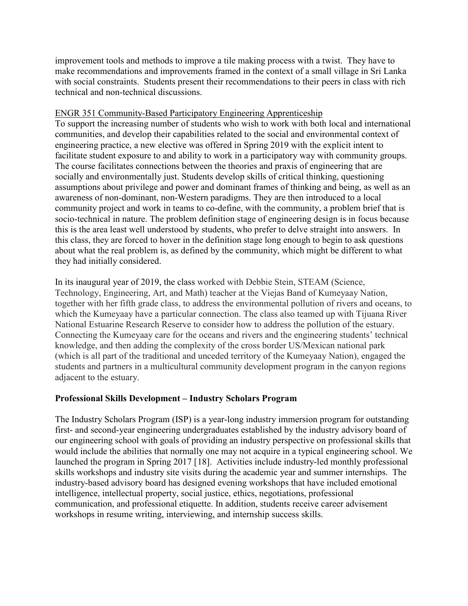improvement tools and methods to improve a tile making process with a twist. They have to make recommendations and improvements framed in the context of a small village in Sri Lanka with social constraints. Students present their recommendations to their peers in class with rich technical and non-technical discussions.

### ENGR 351 Community-Based Participatory Engineering Apprenticeship

To support the increasing number of students who wish to work with both local and international communities, and develop their capabilities related to the social and environmental context of engineering practice, a new elective was offered in Spring 2019 with the explicit intent to facilitate student exposure to and ability to work in a participatory way with community groups. The course facilitates connections between the theories and praxis of engineering that are socially and environmentally just. Students develop skills of critical thinking, questioning assumptions about privilege and power and dominant frames of thinking and being, as well as an awareness of non-dominant, non-Western paradigms. They are then introduced to a local community project and work in teams to co-define, with the community, a problem brief that is socio-technical in nature. The problem definition stage of engineering design is in focus because this is the area least well understood by students, who prefer to delve straight into answers. In this class, they are forced to hover in the definition stage long enough to begin to ask questions about what the real problem is, as defined by the community, which might be different to what they had initially considered.

In its inaugural year of 2019, the class worked with Debbie Stein, STEAM (Science, Technology, Engineering, Art, and Math) teacher at the Viejas Band of Kumeyaay Nation, together with her fifth grade class, to address the environmental pollution of rivers and oceans, to which the Kumeyaay have a particular connection. The class also teamed up with Tijuana River National Estuarine Research Reserve to consider how to address the pollution of the estuary. Connecting the Kumeyaay care for the oceans and rivers and the engineering students' technical knowledge, and then adding the complexity of the cross border US/Mexican national park (which is all part of the traditional and unceded territory of the Kumeyaay Nation), engaged the students and partners in a multicultural community development program in the canyon regions adjacent to the estuary.

## **Professional Skills Development – Industry Scholars Program**

The Industry Scholars Program (ISP) is a year-long industry immersion program for outstanding first- and second-year engineering undergraduates established by the industry advisory board of our engineering school with goals of providing an industry perspective on professional skills that would include the abilities that normally one may not acquire in a typical engineering school. We launched the program in Spring 2017 [[18](#page-10-0)]. Activities include industry-led monthly professional skills workshops and industry site visits during the academic year and summer internships. The industry-based advisory board has designed evening workshops that have included emotional intelligence, intellectual property, social justice, ethics, negotiations, professional communication, and professional etiquette. In addition, students receive career advisement workshops in resume writing, interviewing, and internship success skills.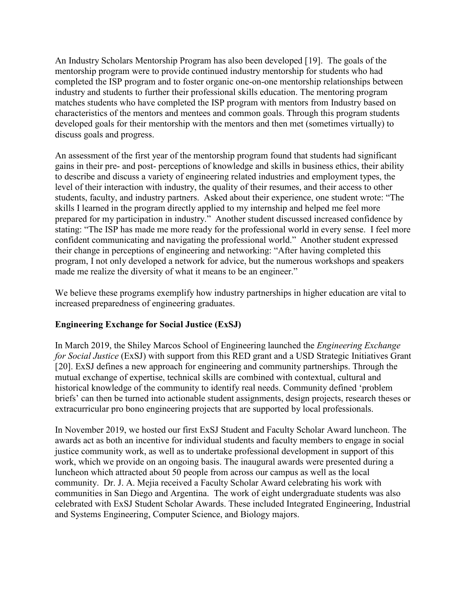An Industry Scholars Mentorship Program has also been developed [[19](#page-10-1)]. The goals of the mentorship program were to provide continued industry mentorship for students who had completed the ISP program and to foster organic one-on-one mentorship relationships between industry and students to further their professional skills education. The mentoring program matches students who have completed the ISP program with mentors from Industry based on characteristics of the mentors and mentees and common goals. Through this program students developed goals for their mentorship with the mentors and then met (sometimes virtually) to discuss goals and progress.

An assessment of the first year of the mentorship program found that students had significant gains in their pre- and post- perceptions of knowledge and skills in business ethics, their ability to describe and discuss a variety of engineering related industries and employment types, the level of their interaction with industry, the quality of their resumes, and their access to other students, faculty, and industry partners. Asked about their experience, one student wrote: "The skills I learned in the program directly applied to my internship and helped me feel more prepared for my participation in industry." Another student discussed increased confidence by stating: "The ISP has made me more ready for the professional world in every sense. I feel more confident communicating and navigating the professional world." Another student expressed their change in perceptions of engineering and networking: "After having completed this program, I not only developed a network for advice, but the numerous workshops and speakers made me realize the diversity of what it means to be an engineer."

We believe these programs exemplify how industry partnerships in higher education are vital to increased preparedness of engineering graduates.

## **Engineering Exchange for Social Justice (ExSJ)**

In March 2019, the Shiley Marcos School of Engineering launched the *Engineering Exchange for Social Justice* (ExSJ) with support from this RED grant and a USD Strategic Initiatives Grant [[20\]](#page-10-2). ExSJ defines a new approach for engineering and community partnerships. Through the mutual exchange of expertise, technical skills are combined with contextual, cultural and historical knowledge of the community to identify real needs. Community defined 'problem briefs' can then be turned into actionable student assignments, design projects, research theses or extracurricular pro bono engineering projects that are supported by local professionals.

In November 2019, we hosted our first ExSJ Student and Faculty Scholar Award luncheon. The awards act as both an incentive for individual students and faculty members to engage in social justice community work, as well as to undertake professional development in support of this work, which we provide on an ongoing basis. The inaugural awards were presented during a luncheon which attracted about 50 people from across our campus as well as the local community. Dr. J. A. Mejia received a Faculty Scholar Award celebrating his work with communities in San Diego and Argentina. The work of eight undergraduate students was also celebrated with ExSJ Student Scholar Awards. These included Integrated Engineering, Industrial and Systems Engineering, Computer Science, and Biology majors.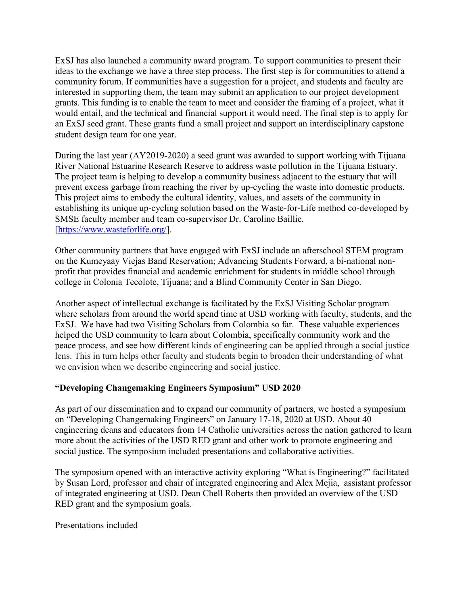ExSJ has also launched a community award program. To support communities to present their ideas to the exchange we have a three step process. The first step is for communities to attend a community forum. If communities have a suggestion for a project, and students and faculty are interested in supporting them, the team may submit an application to our project development grants. This funding is to enable the team to meet and consider the framing of a project, what it would entail, and the technical and financial support it would need. The final step is to apply for an ExSJ seed grant. These grants fund a small project and support an interdisciplinary capstone student design team for one year.

During the last year (AY2019-2020) a seed grant was awarded to support working with Tijuana River National Estuarine Research Reserve to address waste pollution in the Tijuana Estuary. The project team is helping to develop a community business adjacent to the estuary that will prevent excess garbage from reaching the river by up-cycling the waste into domestic products. This project aims to embody the cultural identity, values, and assets of the community in establishing its unique up-cycling solution based on the Waste-for-Life method co-developed by SMSE faculty member and team co-supervisor Dr. Caroline Baillie. [\[https://www.wasteforlife.org/\]](https://www.wasteforlife.org/).

Other community partners that have engaged with ExSJ include an afterschool STEM program on the Kumeyaay Viejas Band Reservation; Advancing Students Forward, a bi-national nonprofit that provides financial and academic enrichment for students in middle school through college in Colonia Tecolote, Tijuana; and a Blind Community Center in San Diego.

Another aspect of intellectual exchange is facilitated by the ExSJ Visiting Scholar program where scholars from around the world spend time at USD working with faculty, students, and the ExSJ. We have had two Visiting Scholars from Colombia so far. These valuable experiences helped the USD community to learn about Colombia, specifically community work and the peace process, and see how different kinds of engineering can be applied through a social justice lens. This in turn helps other faculty and students begin to broaden their understanding of what we envision when we describe engineering and social justice.

## **"Developing Changemaking Engineers Symposium" USD 2020**

As part of our dissemination and to expand our community of partners, we hosted a symposium on "Developing Changemaking Engineers" on January 17-18, 2020 at USD. About 40 engineering deans and educators from 14 Catholic universities across the nation gathered to learn more about the activities of the USD RED grant and other work to promote engineering and social justice. The symposium included presentations and collaborative activities.

The symposium opened with an interactive activity exploring "What is Engineering?" facilitated by Susan Lord, professor and chair of integrated engineering and Alex Mejia, assistant professor of integrated engineering at USD. Dean Chell Roberts then provided an overview of the USD RED grant and the symposium goals.

Presentations included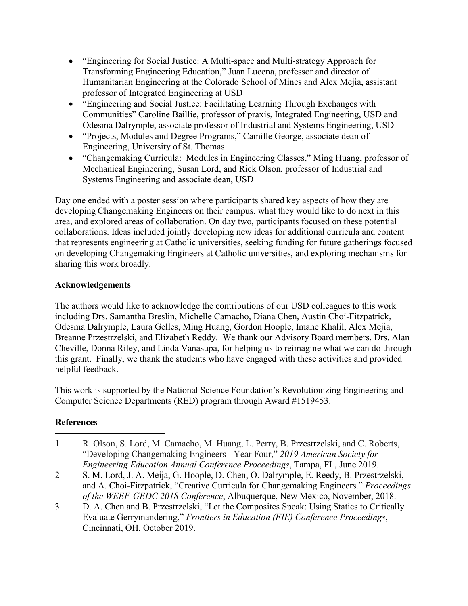- "Engineering for Social Justice: A Multi-space and Multi-strategy Approach for Transforming Engineering Education," Juan Lucena, professor and director of Humanitarian Engineering at the Colorado School of Mines and Alex Mejia, assistant professor of Integrated Engineering at USD
- "Engineering and Social Justice: Facilitating Learning Through Exchanges with Communities" Caroline Baillie, professor of praxis, Integrated Engineering, USD and Odesma Dalrymple, associate professor of Industrial and Systems Engineering, USD
- "Projects, Modules and Degree Programs," Camille George, associate dean of Engineering, University of St. Thomas
- "Changemaking Curricula: Modules in Engineering Classes," Ming Huang, professor of Mechanical Engineering, Susan Lord, and Rick Olson, professor of Industrial and Systems Engineering and associate dean, USD

Day one ended with a poster session where participants shared key aspects of how they are developing Changemaking Engineers on their campus, what they would like to do next in this area, and explored areas of collaboration. On day two, participants focused on these potential collaborations. Ideas included jointly developing new ideas for additional curricula and content that represents engineering at Catholic universities, seeking funding for future gatherings focused on developing Changemaking Engineers at Catholic universities, and exploring mechanisms for sharing this work broadly.

# **Acknowledgements**

The authors would like to acknowledge the contributions of our USD colleagues to this work including Drs. Samantha Breslin, Michelle Camacho, Diana Chen, Austin Choi-Fitzpatrick, Odesma Dalrymple, Laura Gelles, Ming Huang, Gordon Hoople, Imane Khalil, Alex Mejia, Breanne Przestrzelski, and Elizabeth Reddy. We thank our Advisory Board members, Drs. Alan Cheville, Donna Riley, and Linda Vanasupa, for helping us to reimagine what we can do through this grant. Finally, we thank the students who have engaged with these activities and provided helpful feedback.

This work is supported by the National Science Foundation's Revolutionizing Engineering and Computer Science Departments (RED) program through Award #1519453.

# **References**

- <span id="page-8-0"></span>R. Olson, S. Lord, M. Camacho, M. Huang, L. Perry, B. Przestrzelski, and C. Roberts, "Developing Changemaking Engineers - Year Four," *2019 American Society for Engineering Education Annual Conference Proceedings*, Tampa, FL, June 2019.  $\mathbf{1}$
- <span id="page-8-1"></span>2 S. M. Lord, J. A. Meija, G. Hoople, D. Chen, O. Dalrymple, E. Reedy, B. Przestrzelski, and A. Choi-Fitzpatrick, "Creative Curricula for Changemaking Engineers." *Proceedings of the WEEF-GEDC 2018 Conference*, Albuquerque, New Mexico, November, 2018.
- <span id="page-8-2"></span>3 D. A. Chen and B. Przestrzelski, "Let the Composites Speak: Using Statics to Critically Evaluate Gerrymandering," *Frontiers in Education (FIE) Conference Proceedings*, Cincinnati, OH, October 2019.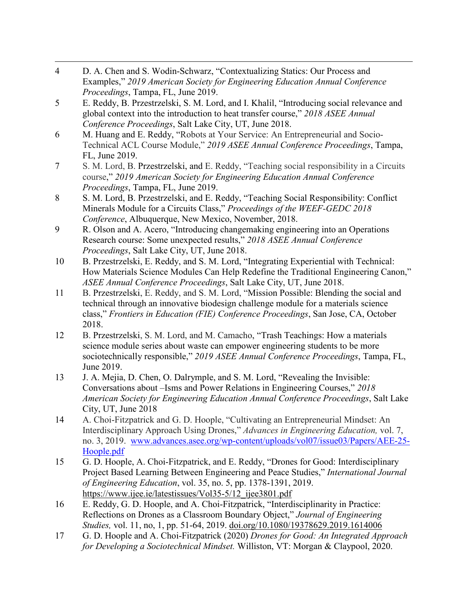- <span id="page-9-0"></span> $\overline{4}$ D. A. Chen and S. Wodin-Schwarz, "Contextualizing Statics: Our Process and Examples," *2019 American Society for Engineering Education Annual Conference Proceedings*, Tampa, FL, June 2019.
- <span id="page-9-1"></span>5 E. Reddy, B. Przestrzelski, S. M. Lord, and I. Khalil, "Introducing social relevance and global context into the introduction to heat transfer course," *2018 ASEE Annual Conference Proceedings*, Salt Lake City, UT, June 2018.
- <span id="page-9-2"></span>6 M. Huang and E. Reddy, "Robots at Your Service: An Entrepreneurial and Socio-Technical ACL Course Module," *2019 ASEE Annual Conference Proceedings*, Tampa, FL, June 2019.
- <span id="page-9-3"></span>7 S. M. Lord, B. Przestrzelski, and E. Reddy, "Teaching social responsibility in a Circuits course," *2019 American Society for Engineering Education Annual Conference Proceedings*, Tampa, FL, June 2019.
- <span id="page-9-4"></span>8 S. M. Lord, B. Przestrzelski, and E. Reddy, "Teaching Social Responsibility: Conflict Minerals Module for a Circuits Class," *Proceedings of the WEEF-GEDC 2018 Conference*, Albuquerque, New Mexico, November, 2018.
- <span id="page-9-5"></span>9 R. Olson and A. Acero, "Introducing changemaking engineering into an Operations Research course: Some unexpected results," *2018 ASEE Annual Conference Proceedings*, Salt Lake City, UT, June 2018.
- <span id="page-9-6"></span>10 B. Przestrzelski, E. Reddy, and S. M. Lord, "Integrating Experiential with Technical: How Materials Science Modules Can Help Redefine the Traditional Engineering Canon," *ASEE Annual Conference Proceedings*, Salt Lake City, UT, June 2018.
- <span id="page-9-7"></span>11 B. Przestrzelski, E. Reddy, and S. M. Lord, "Mission Possible: Blending the social and technical through an innovative biodesign challenge module for a materials science class," *Frontiers in Education (FIE) Conference Proceedings*, San Jose, CA, October 2018.
- <span id="page-9-8"></span>12 B. Przestrzelski, S. M. Lord, and M. Camacho, "Trash Teachings: How a materials science module series about waste can empower engineering students to be more sociotechnically responsible," *2019 ASEE Annual Conference Proceedings*, Tampa, FL, June 2019.
- <span id="page-9-9"></span>13 J. A. Mejia, D. Chen, O. Dalrymple, and S. M. Lord, "Revealing the Invisible: Conversations about –Isms and Power Relations in Engineering Courses," *2018 American Society for Engineering Education Annual Conference Proceedings*, Salt Lake City, UT, June 2018
- <span id="page-9-10"></span>14 A. Choi-Fitzpatrick and G. D. Hoople, "Cultivating an Entrepreneurial Mindset: An Interdisciplinary Approach Using Drones," *Advances in Engineering Education,* vol. 7, no. 3, 2019. [www.advances.asee.org/wp-content/uploads/vol07/issue03/Papers/AEE-25-](https://advances.asee.org/wp-content/uploads/vol07/issue03/Papers/AEE-25-Hoople.pdf) [Hoople.pdf](https://advances.asee.org/wp-content/uploads/vol07/issue03/Papers/AEE-25-Hoople.pdf)
- <span id="page-9-11"></span>15 G. D. Hoople, A. Choi-Fitzpatrick, and E. Reddy, "Drones for Good: Interdisciplinary Project Based Learning Between Engineering and Peace Studies," *International Journal of Engineering Education*, vol. 35, no. 5, pp. 1378-1391, 2019. https://www.ijee.ie/latestissues/Vol35-5/12 ijee3801.pdf
- <span id="page-9-12"></span>16 E. Reddy, G. D. Hoople, and A. Choi-Fitzpatrick, "Interdisciplinarity in Practice: Reflections on Drones as a Classroom Boundary Object," *Journal of Engineering Studies,* vol. 11, no, 1, pp. 51-64, 2019. [doi.org/10.1080/19378629.2019.1614006](http://www.doi.org/10.1080/19378629.2019.1614006)
- <span id="page-9-13"></span>17 G. D. Hoople and A. Choi-Fitzpatrick (2020) *Drones for Good: An Integrated Approach for Developing a Sociotechnical Mindset.* Williston, VT: Morgan & Claypool, 2020.